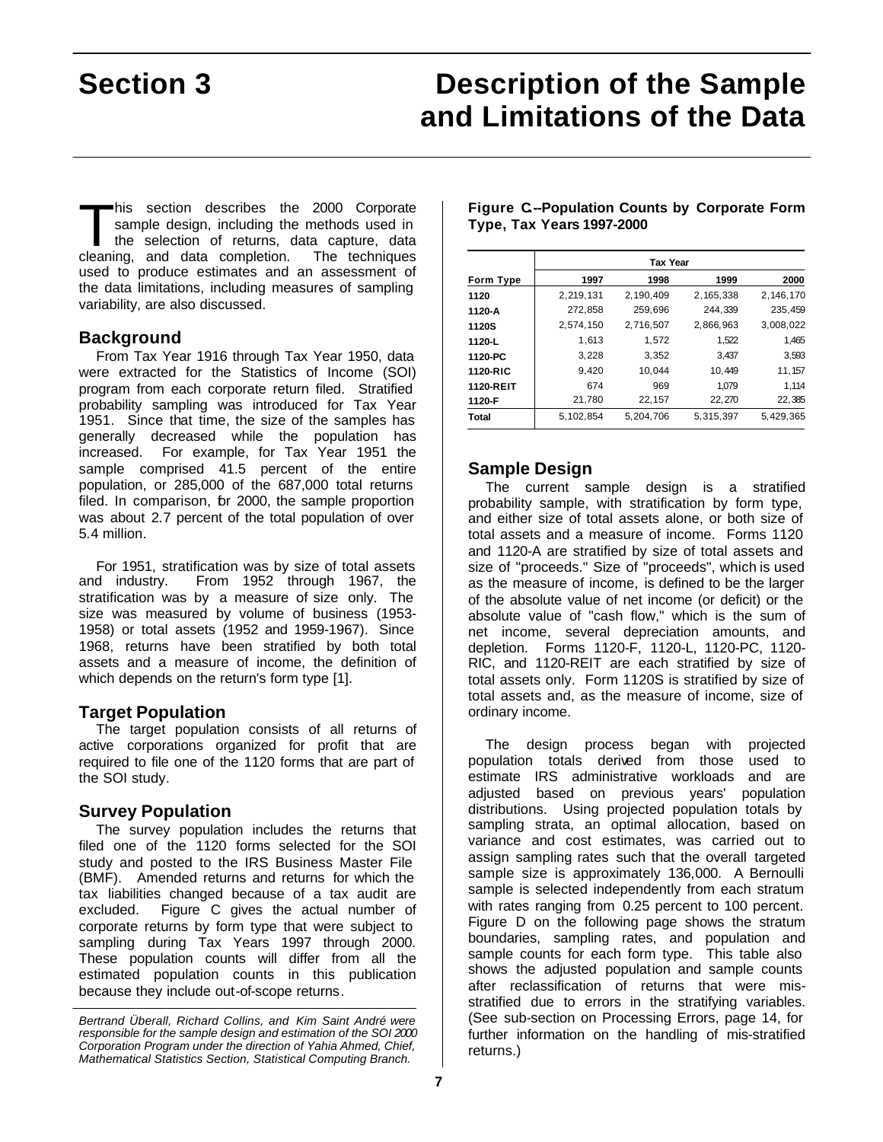# **Section 3 Description of the Sample and Limitations of the Data**

his section describes the 2000 Corporate sample design, including the methods used in the selection of returns, data capture, data his section describes the 2000 Corporate sample design, including the methods used in the selection of returns, data capture, data cleaning, and data completion. The techniques used to produce estimates and an assessment of the data limitations, including measures of sampling variability, are also discussed.

# **Background**

From Tax Year 1916 through Tax Year 1950, data were extracted for the Statistics of Income (SOI) program from each corporate return filed. Stratified probability sampling was introduced for Tax Year 1951. Since that time, the size of the samples has generally decreased while the population has increased. For example, for Tax Year 1951 the sample comprised 41.5 percent of the entire population, or 285,000 of the 687,000 total returns filed. In comparison, br 2000, the sample proportion was about 2.7 percent of the total population of over 5.4 million.

For 1951, stratification was by size of total assets and industry. From 1952 through 1967, the stratification was by a measure of size only. The size was measured by volume of business (1953- 1958) or total assets (1952 and 1959-1967). Since 1968, returns have been stratified by both total assets and a measure of income, the definition of which depends on the return's form type [1].

# **Target Population**

The target population consists of all returns of active corporations organized for profit that are required to file one of the 1120 forms that are part of the SOI study.

### **Survey Population**

The survey population includes the returns that filed one of the 1120 forms selected for the SOI study and posted to the IRS Business Master File (BMF). Amended returns and returns for which the tax liabilities changed because of a tax audit are excluded. Figure C gives the actual number of corporate returns by form type that were subject to sampling during Tax Years 1997 through 2000. These population counts will differ from all the estimated population counts in this publication because they include out-of-scope returns.

|              | <b>Tax Year</b> |           |           |           |  |
|--------------|-----------------|-----------|-----------|-----------|--|
| Form Type    | 1997            | 1998      | 1999      | 2000      |  |
| 1120         | 2,219,131       | 2,190,409 | 2,165,338 | 2,146,170 |  |
| 1120-A       | 272,858         | 259,696   | 244.339   | 235,459   |  |
| <b>1120S</b> | 2,574,150       | 2,716,507 | 2,866,963 | 3,008,022 |  |
| 1120-L       | 1.613           | 1.572     | 1,522     | 1,465     |  |
| 1120-PC      | 3,228           | 3,352     | 3,437     | 3,593     |  |
| 1120-RIC     | 9,420           | 10.044    | 10,449    | 11, 157   |  |
| 1120-REIT    | 674             | 969       | 1.079     | 1,114     |  |
| 1120-F       | 21,780          | 22,157    | 22,270    | 22,385    |  |
| Total        | 5,102,854       | 5.204.706 | 5,315,397 | 5.429.365 |  |

### **Figure C.--Population Counts by Corporate Form Type, Tax Years 1997-2000**

# **Sample Design**

The current sample design is a stratified probability sample, with stratification by form type, and either size of total assets alone, or both size of total assets and a measure of income. Forms 1120 and 1120-A are stratified by size of total assets and size of "proceeds." Size of "proceeds", which is used as the measure of income, is defined to be the larger of the absolute value of net income (or deficit) or the absolute value of "cash flow," which is the sum of net income, several depreciation amounts, and depletion. Forms 1120-F, 1120-L, 1120-PC, 1120- RIC, and 1120-REIT are each stratified by size of total assets only. Form 1120S is stratified by size of total assets and, as the measure of income, size of ordinary income.

The design process began with projected population totals derived from those used to estimate IRS administrative workloads and are adjusted based on previous years' population distributions. Using projected population totals by sampling strata, an optimal allocation, based on variance and cost estimates, was carried out to assign sampling rates such that the overall targeted sample size is approximately 136,000. A Bernoulli sample is selected independently from each stratum with rates ranging from 0.25 percent to 100 percent. Figure D on the following page shows the stratum boundaries, sampling rates, and population and sample counts for each form type. This table also shows the adjusted population and sample counts after reclassification of returns that were misstratified due to errors in the stratifying variables. (See sub-section on Processing Errors, page 14, for further information on the handling of mis-stratified returns.)

*Bertrand Überall, Richard Collins, and Kim Saint André were responsible for the sample design and estimation of the SOI 2000 Corporation Program under the direction of Yahia Ahmed, Chief, Mathematical Statistics Section, Statistical Computing Branch.*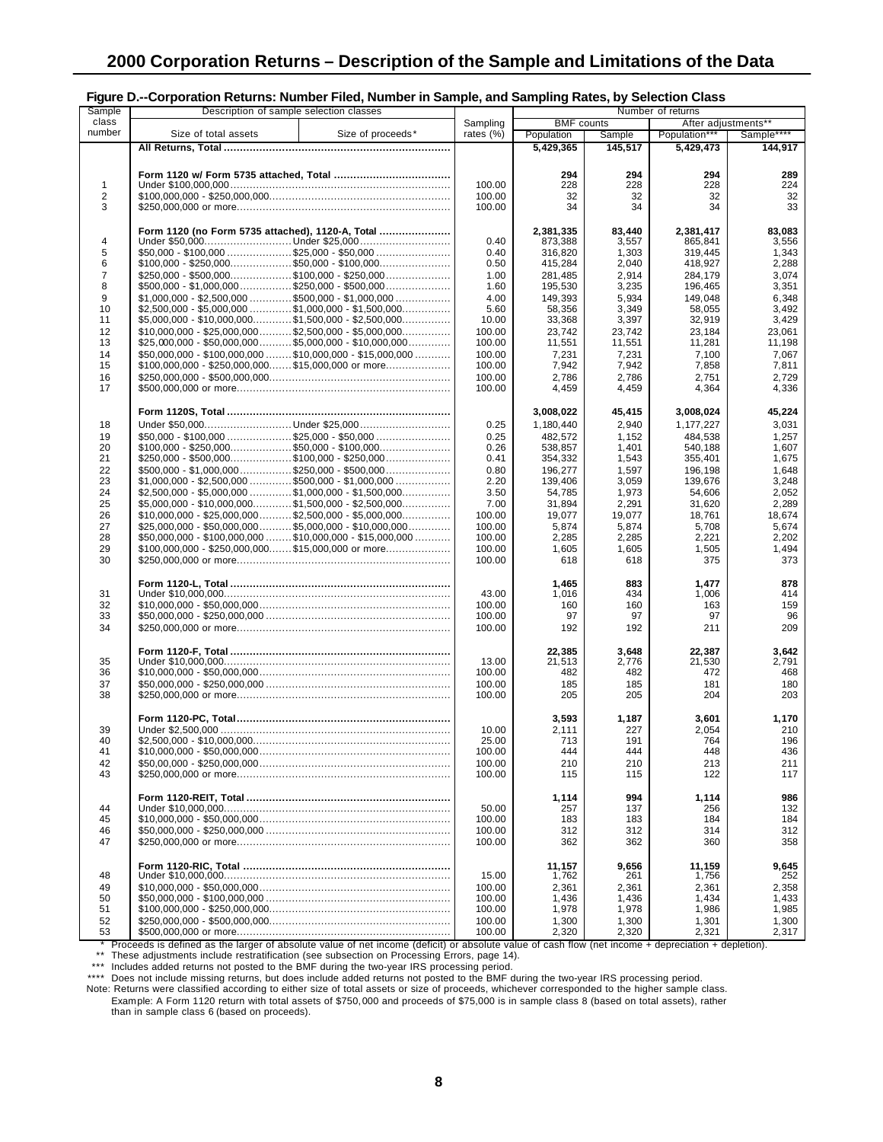| ı ıyuı v                | <b>Outputation including. Humber I live, Humber in Outriple, and Outripling halog, by Octobion Oldge</b>       |              |                   |         |                     |            |
|-------------------------|----------------------------------------------------------------------------------------------------------------|--------------|-------------------|---------|---------------------|------------|
| Sample                  | Description of sample selection classes                                                                        |              |                   |         | Number of returns   |            |
| class                   |                                                                                                                | Sampling     | <b>BMF</b> counts |         | After adjustments** |            |
| number                  | Size of total assets<br>Size of proceeds*                                                                      |              |                   |         |                     |            |
|                         |                                                                                                                | rates $(\%)$ | Population        | Sample  | Population***       | Sample**** |
|                         |                                                                                                                |              | 5.429.365         | 145,517 | 5,429,473           | 144,917    |
|                         |                                                                                                                |              |                   |         |                     |            |
|                         |                                                                                                                |              |                   |         |                     |            |
|                         |                                                                                                                |              | 294               | 294     | 294                 | 289        |
|                         |                                                                                                                |              |                   |         |                     |            |
| 1                       |                                                                                                                | 100.00       | 228               | 228     | 228                 | 224        |
| $\overline{\mathbf{c}}$ | $$100,000,000 - $250,000,000 \dots$                                                                            | 100.00       | 32                | 32      | 32                  | 32         |
|                         |                                                                                                                |              |                   |         |                     |            |
| 3                       |                                                                                                                | 100.00       | 34                | 34      | 34                  | 33         |
|                         |                                                                                                                |              |                   |         |                     |            |
|                         |                                                                                                                |              |                   |         |                     |            |
|                         | Form 1120 (no Form 5735 attached), 1120-A, Total                                                               |              | 2,381,335         | 83,440  | 2,381,417           | 83,083     |
| 4                       |                                                                                                                | 0.40         | 873,388           | 3,557   | 865,841             | 3,556      |
|                         |                                                                                                                |              |                   |         |                     |            |
| 5                       | $$50,000 - $100,000$ \$25,000 - \$50,000                                                                       | 0.40         | 316,820           | 1,303   | 319,445             | 1,343      |
| 6                       |                                                                                                                | 0.50         | 415,284           | 2,040   | 418,927             | 2,288      |
| 7                       |                                                                                                                |              |                   |         |                     |            |
|                         | $$250,000 - $500,000$ \$100,000 - \$250,000                                                                    | 1.00         | 281,485           | 2,914   | 284,179             | 3,074      |
| 8                       | $$500,000 - $1,000,000 \dots \dots \dots \dots \dots \$250,000 - $500,000 \dots \dots \dots \dots \dots \dots$ | 1.60         | 195,530           | 3,235   | 196,465             | 3,351      |
| 9                       | $$1,000,000 - $2,500,000$ \$500,000 - \$1,000,000                                                              | 4.00         | 149,393           | 5,934   | 149.048             | 6,348      |
|                         |                                                                                                                |              |                   |         |                     |            |
| 10                      | $$2,500,000 - $5,000,000 \ldots$ \$1,000,000 - \$1,500,000                                                     | 5.60         | 58,356            | 3,349   | 58,055              | 3,492      |
| 11                      | $$5,000,000 - $10,000,000 \dots \dots \dots \dots \$1,500,000 - $2,500,000 \dots \dots \dots \dots$            | 10.00        | 33,368            | 3,397   | 32,919              | 3,429      |
|                         |                                                                                                                |              |                   |         |                     |            |
| 12                      | $$10,000,000 - $25,000,000 \ldots \ldots \ldots$ \$2,500,000 - \$5,000,000                                     | 100.00       | 23,742            | 23,742  | 23,184              | 23,061     |
| 13                      | $$25,000,000 - $50,000,000 \dots $ \$5,000,000 - \$10,000,000                                                  | 100.00       | 11,551            | 11,551  | 11,281              | 11,198     |
|                         |                                                                                                                |              |                   |         |                     |            |
| 14                      | $$50,000,000 - $100,000,000 \dots \dots$ \$10,000,000 - \$15,000,000                                           | 100.00       | 7,231             | 7,231   | 7,100               | 7,067      |
| 15                      |                                                                                                                | 100.00       | 7,942             | 7,942   | 7,858               | 7,811      |
|                         |                                                                                                                |              |                   |         |                     |            |
| 16                      | $$250,000,000 - $500,000,000 \dots$                                                                            | 100.00       | 2,786             | 2,786   | 2,751               | 2,729      |
| 17                      |                                                                                                                | 100.00       | 4,459             | 4,459   | 4,364               | 4,336      |
|                         |                                                                                                                |              |                   |         |                     |            |
|                         |                                                                                                                |              |                   |         |                     |            |
|                         |                                                                                                                |              | 3,008,022         | 45,415  | 3,008,024           | 45,224     |
|                         |                                                                                                                |              |                   |         |                     |            |
| 18                      |                                                                                                                | 0.25         | 1,180,440         | 2,940   | 1,177,227           | 3,031      |
| 19                      |                                                                                                                | 0.25         | 482,572           | 1,152   | 484,538             | 1,257      |
|                         |                                                                                                                |              |                   |         |                     |            |
| 20                      | $$100,000 - $250,000$ \$50,000 - \$100,000                                                                     | 0.26         | 538.857           | 1,401   | 540,188             | 1,607      |
| 21                      | $$250,000 - $500,000 \dots \dots \dots \dots \dots \$100,000 - $250,000 \dots \dots \dots \dots \dots$         | 0.41         | 354,332           | 1,543   | 355,401             | 1,675      |
| 22                      |                                                                                                                | 0.80         |                   | 1,597   |                     | 1,648      |
|                         |                                                                                                                |              | 196,277           |         | 196,198             |            |
| 23                      |                                                                                                                | 2.20         | 139,406           | 3,059   | 139,676             | 3,248      |
| 24                      |                                                                                                                | 3.50         | 54,785            | 1,973   | 54,606              | 2.052      |
|                         |                                                                                                                |              |                   |         |                     |            |
| 25                      | $$5,000,000 - $10,000,000 \dots \dots \dots \dots $1,500,000 - $2,500,000 \dots \dots \dots \dots$             | 7.00         | 31,894            | 2,291   | 31,620              | 2,289      |
| 26                      |                                                                                                                | 100.00       | 19,077            | 19,077  | 18,761              | 18,674     |
|                         |                                                                                                                |              |                   |         |                     |            |
| 27                      | $$25,000,000 - $50,000,000 \ldots \ldots \ldots$ \$5,000,000 - \$10,000,000                                    | 100.00       | 5,874             | 5,874   | 5,708               | 5,674      |
| 28                      | $$50,000,000 - $100,000,000 \dots \dots $10,000,000 - $15,000,000 \dots \dots \dots$                           | 100.00       | 2,285             | 2,285   | 2,221               | 2,202      |
|                         |                                                                                                                |              |                   |         |                     |            |
| 29                      | $$100,000,000 - $250,000,000 \ldots$ \$15,000,000 or more                                                      | 100.00       | 1,605             | 1,605   | 1,505               | 1,494      |
| 30                      |                                                                                                                | 100.00       | 618               | 618     | 375                 | 373        |
|                         |                                                                                                                |              |                   |         |                     |            |
|                         |                                                                                                                |              |                   |         |                     |            |
|                         |                                                                                                                |              | 1,465             | 883     | 1,477               | 878        |
| 31                      |                                                                                                                | 43.00        | 1,016             | 434     | 1,006               | 414        |
|                         |                                                                                                                |              |                   |         |                     |            |
| 32                      |                                                                                                                | 100.00       | 160               | 160     | 163                 | 159        |
| 33                      | $$50,000,000 - $250,000,000 \dots$                                                                             | 100.00       | 97                | 97      | 97                  | 96         |
|                         |                                                                                                                |              |                   |         |                     |            |
| 34                      |                                                                                                                | 100.00       | 192               | 192     | 211                 | 209        |
|                         |                                                                                                                |              |                   |         |                     |            |
|                         |                                                                                                                |              |                   |         |                     |            |
|                         |                                                                                                                |              | 22,385            | 3,648   | 22,387              | 3,642      |
| 35                      |                                                                                                                | 13.00        | 21,513            | 2,776   | 21,530              | 2,791      |
| 36                      |                                                                                                                | 100.00       | 482               | 482     | 472                 | 468        |
|                         |                                                                                                                |              |                   |         |                     |            |
| 37                      |                                                                                                                | 100.00       | 185               | 185     | 181                 | 180        |
| 38                      |                                                                                                                | 100.00       | 205               | 205     | 204                 | 203        |
|                         |                                                                                                                |              |                   |         |                     |            |
|                         |                                                                                                                |              |                   |         |                     |            |
|                         |                                                                                                                |              | 3,593             | 1,187   | 3,601               | 1,170      |
| 39                      |                                                                                                                | 10.00        | 2,111             | 227     | 2,054               | 210        |
|                         |                                                                                                                |              |                   |         |                     |            |
| 40                      |                                                                                                                | 25.00        | 713               | 191     | 764                 | 196        |
| 41                      | $$10,000,000 - $50,000,000 \dots$                                                                              | 100.00       | 444               | 444     | 448                 | 436        |
|                         |                                                                                                                |              |                   |         |                     |            |
| 42                      | $$50,00,000 - $250,000,000 \dots$                                                                              | 100.00       | 210               | 210     | 213                 | 211        |
| 43                      |                                                                                                                | 100.00       | 115               | 115     | 122                 | 117        |
|                         |                                                                                                                |              |                   |         |                     |            |
|                         |                                                                                                                |              |                   |         |                     |            |
|                         |                                                                                                                |              | 1,114             | 994     | 1,114               | 986        |
|                         |                                                                                                                |              |                   |         |                     |            |
| 44                      |                                                                                                                | 50.00        | 257               | 137     | 256                 | 132        |
| 45                      |                                                                                                                | 100.00       | 183               | 183     | 184                 | 184        |
| 46                      |                                                                                                                | 100.00       | 312               | 312     | 314                 | 312        |
|                         |                                                                                                                |              |                   |         |                     |            |
| 47                      |                                                                                                                | 100.00       | 362               | 362     | 360                 | 358        |
|                         |                                                                                                                |              |                   |         |                     |            |
|                         |                                                                                                                |              |                   |         |                     |            |
|                         |                                                                                                                |              | 11,157            | 9,656   | 11,159              | 9,645      |
| 48                      |                                                                                                                | 15.00        | 1,762             | 261     | 1,756               | 252        |
|                         |                                                                                                                |              |                   |         |                     |            |
| 49                      |                                                                                                                | 100.00       | 2,361             | 2,361   | 2,361               | 2,358      |
| 50                      |                                                                                                                | 100.00       | 1,436             | 1,436   | 1,434               | 1,433      |
|                         |                                                                                                                |              |                   |         |                     |            |
| 51                      |                                                                                                                | 100.00       | 1,978             | 1,978   | 1,986               | 1,985      |
| 52                      |                                                                                                                | 100.00       | 1,300             | 1,300   | 1,301               | 1,300      |
|                         |                                                                                                                |              |                   |         |                     |            |
| 53                      |                                                                                                                | 100.00       | 2,320             | 2,320   | 2,321               | 2,317      |

#### **Figure D.--Corporation Returns: Number Filed, Number in Sample, and Sampling Rates, by Selection Class**

\* Proceeds is defined as the larger of absolute value of net income (deficit) or absolute value of cash flow (net income + depreciation + depletion).

\*\* These adjustments include restratification (see subsection on Processing Errors, page 14). \*\*\* Includes added returns not posted to the BMF during the two-year IRS processing period.

\*\*\*\* Does not include missing returns, but does include added returns not posted to the BMF during the two-year IRS processing period. Note: Returns were classified according to either size of total assets or size of proceeds, whichever corresponded to the higher sample class.

Example: A Form 1120 return with total assets of \$750,000 and proceeds of \$75,000 is in sample class 8 (based on total assets), rather than in sample class 6 (based on proceeds).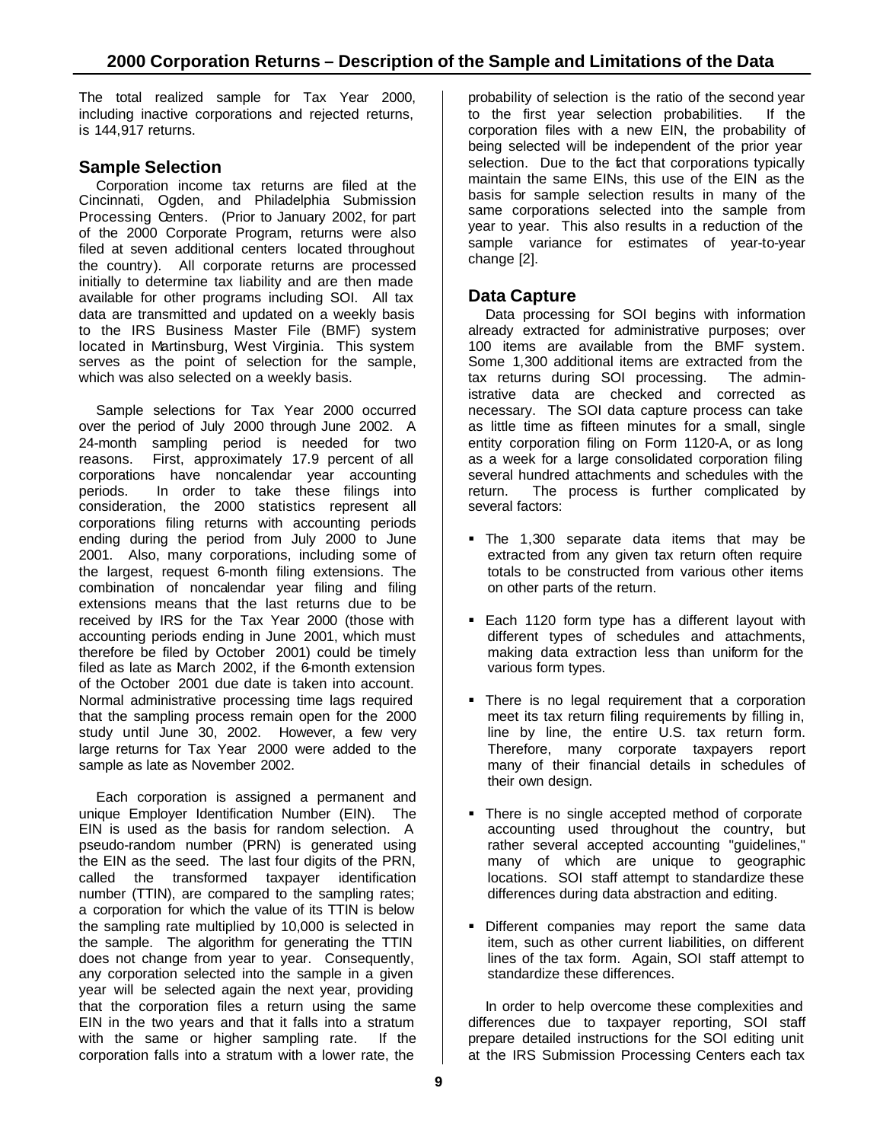The total realized sample for Tax Year 2000, including inactive corporations and rejected returns, is 144,917 returns.

# **Sample Selection**

Corporation income tax returns are filed at the Cincinnati, Ogden, and Philadelphia Submission Processing Centers. (Prior to January 2002, for part of the 2000 Corporate Program, returns were also filed at seven additional centers located throughout the country). All corporate returns are processed initially to determine tax liability and are then made available for other programs including SOI. All tax data are transmitted and updated on a weekly basis to the IRS Business Master File (BMF) system located in Martinsburg, West Virginia. This system serves as the point of selection for the sample, which was also selected on a weekly basis.

Sample selections for Tax Year 2000 occurred over the period of July 2000 through June 2002. A 24-month sampling period is needed for two reasons. First, approximately 17.9 percent of all corporations have noncalendar year accounting periods. In order to take these filings into consideration, the 2000 statistics represent all corporations filing returns with accounting periods ending during the period from July 2000 to June 2001. Also, many corporations, including some of the largest, request 6-month filing extensions. The combination of noncalendar year filing and filing extensions means that the last returns due to be received by IRS for the Tax Year 2000 (those with accounting periods ending in June 2001, which must therefore be filed by October 2001) could be timely filed as late as March 2002, if the 6-month extension of the October 2001 due date is taken into account. Normal administrative processing time lags required that the sampling process remain open for the 2000 study until June 30, 2002. However, a few very large returns for Tax Year 2000 were added to the sample as late as November 2002.

Each corporation is assigned a permanent and unique Employer Identification Number (EIN). The EIN is used as the basis for random selection. A pseudo-random number (PRN) is generated using the EIN as the seed. The last four digits of the PRN, called the transformed taxpayer identification number (TTIN), are compared to the sampling rates; a corporation for which the value of its TTIN is below the sampling rate multiplied by 10,000 is selected in the sample. The algorithm for generating the TTIN does not change from year to year. Consequently, any corporation selected into the sample in a given year will be selected again the next year, providing that the corporation files a return using the same EIN in the two years and that it falls into a stratum with the same or higher sampling rate. If the corporation falls into a stratum with a lower rate, the

probability of selection is the ratio of the second year to the first year selection probabilities. If the corporation files with a new EIN, the probability of being selected will be independent of the prior year selection. Due to the fact that corporations typically maintain the same EINs, this use of the EIN as the basis for sample selection results in many of the same corporations selected into the sample from year to year. This also results in a reduction of the sample variance for estimates of year-to-year change [2].

# **Data Capture**

Data processing for SOI begins with information already extracted for administrative purposes; over 100 items are available from the BMF system. Some 1,300 additional items are extracted from the tax returns during SOI processing. The administrative data are checked and corrected as necessary. The SOI data capture process can take as little time as fifteen minutes for a small, single entity corporation filing on Form 1120-A, or as long as a week for a large consolidated corporation filing several hundred attachments and schedules with the return. The process is further complicated by several factors:

- The 1,300 separate data items that may be extracted from any given tax return often require totals to be constructed from various other items on other parts of the return.
- **Each 1120 form type has a different layout with** different types of schedules and attachments, making data extraction less than uniform for the various form types.
- There is no legal requirement that a corporation meet its tax return filing requirements by filling in, line by line, the entire U.S. tax return form. Therefore, many corporate taxpayers report many of their financial details in schedules of their own design.
- There is no single accepted method of corporate accounting used throughout the country, but rather several accepted accounting "guidelines," many of which are unique to geographic locations. SOI staff attempt to standardize these differences during data abstraction and editing.
- **•** Different companies may report the same data item, such as other current liabilities, on different lines of the tax form. Again, SOI staff attempt to standardize these differences.

In order to help overcome these complexities and differences due to taxpayer reporting, SOI staff prepare detailed instructions for the SOI editing unit at the IRS Submission Processing Centers each tax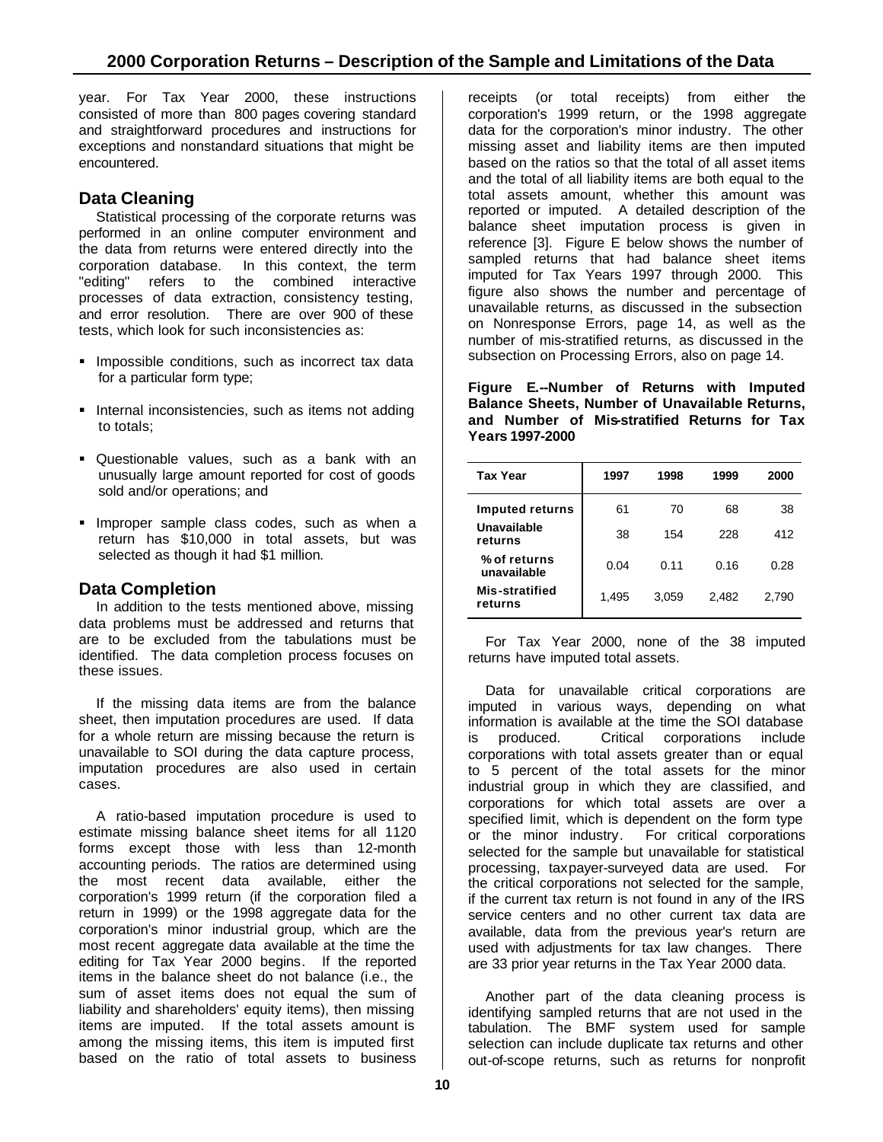year. For Tax Year 2000, these instructions consisted of more than 800 pages covering standard and straightforward procedures and instructions for exceptions and nonstandard situations that might be encountered.

# **Data Cleaning**

Statistical processing of the corporate returns was performed in an online computer environment and the data from returns were entered directly into the corporation database. In this context, the term "editing" refers to the combined interactive processes of data extraction, consistency testing, and error resolution. There are over 900 of these tests, which look for such inconsistencies as:

- **Impossible conditions, such as incorrect tax data** for a particular form type;
- **Internal inconsistencies, such as items not adding** to totals;
- **Questionable values, such as a bank with an** unusually large amount reported for cost of goods sold and/or operations; and
- **Improper sample class codes, such as when a** return has \$10,000 in total assets, but was selected as though it had \$1 million.

# **Data Completion**

In addition to the tests mentioned above, missing data problems must be addressed and returns that are to be excluded from the tabulations must be identified. The data completion process focuses on these issues.

If the missing data items are from the balance sheet, then imputation procedures are used. If data for a whole return are missing because the return is unavailable to SOI during the data capture process, imputation procedures are also used in certain cases.

A ratio-based imputation procedure is used to estimate missing balance sheet items for all 1120 forms except those with less than 12-month accounting periods. The ratios are determined using the most recent data available, either the corporation's 1999 return (if the corporation filed a return in 1999) or the 1998 aggregate data for the corporation's minor industrial group, which are the most recent aggregate data available at the time the editing for Tax Year 2000 begins. If the reported items in the balance sheet do not balance (i.e., the sum of asset items does not equal the sum of liability and shareholders' equity items), then missing items are imputed. If the total assets amount is among the missing items, this item is imputed first based on the ratio of total assets to business

receipts (or total receipts) from either the corporation's 1999 return, or the 1998 aggregate data for the corporation's minor industry. The other missing asset and liability items are then imputed based on the ratios so that the total of all asset items and the total of all liability items are both equal to the total assets amount, whether this amount was reported or imputed. A detailed description of the balance sheet imputation process is given in reference [3]. Figure E below shows the number of sampled returns that had balance sheet items imputed for Tax Years 1997 through 2000. This figure also shows the number and percentage of unavailable returns, as discussed in the subsection on Nonresponse Errors, page 14, as well as the number of mis-stratified returns, as discussed in the subsection on Processing Errors, also on page 14.

**Figure E.--Number of Returns with Imputed Balance Sheets, Number of Unavailable Returns, and Number of Mis-stratified Returns for Tax Years 1997-2000**

| <b>Tax Year</b>             | 1997  | 1998  | 1999  | 2000  |
|-----------------------------|-------|-------|-------|-------|
| <b>Imputed returns</b>      | 61    | 70    | 68    | 38    |
| Unavailable<br>returns      | 38    | 154   | 228   | 412   |
| % of returns<br>unavailable | 0.04  | 0.11  | 0.16  | 0.28  |
| Mis-stratified<br>returns   | 1,495 | 3.059 | 2.482 | 2.790 |

For Tax Year 2000, none of the 38 imputed returns have imputed total assets.

Data for unavailable critical corporations are imputed in various ways, depending on what information is available at the time the SOI database is produced. Critical corporations include corporations with total assets greater than or equal to 5 percent of the total assets for the minor industrial group in which they are classified, and corporations for which total assets are over a specified limit, which is dependent on the form type or the minor industry. For critical corporations selected for the sample but unavailable for statistical processing, taxpayer-surveyed data are used. For the critical corporations not selected for the sample, if the current tax return is not found in any of the IRS service centers and no other current tax data are available, data from the previous year's return are used with adjustments for tax law changes. There are 33 prior year returns in the Tax Year 2000 data.

Another part of the data cleaning process is identifying sampled returns that are not used in the tabulation. The BMF system used for sample selection can include duplicate tax returns and other out-of-scope returns, such as returns for nonprofit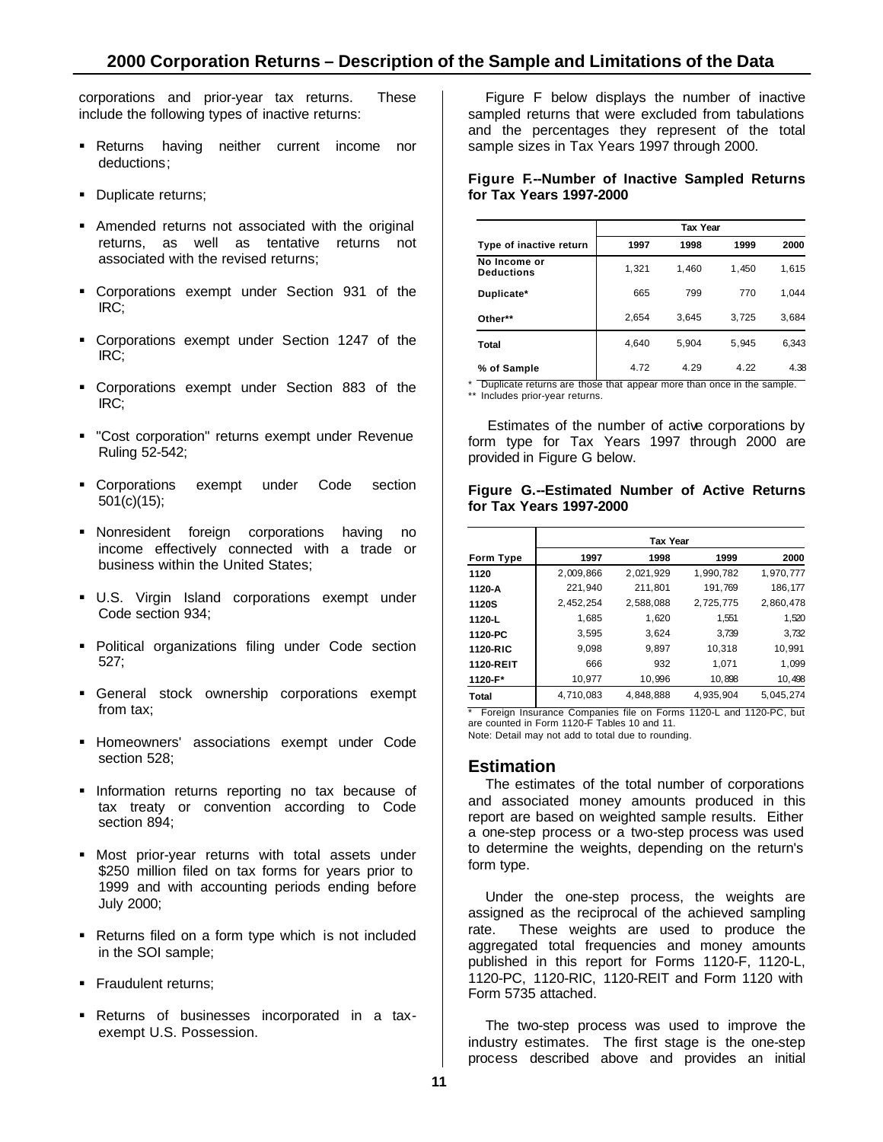corporations and prior-year tax returns. These include the following types of inactive returns:

- **Returns** having neither current income nor deductions;
- Duplicate returns;
- Amended returns not associated with the original returns, as well as tentative returns not associated with the revised returns;
- ß Corporations exempt under Section 931 of the IRC;
- **Corporations exempt under Section 1247 of the** IRC;
- ß Corporations exempt under Section 883 of the IRC;
- **"Cost corporation" returns exempt under Revenue** Ruling 52-542;
- **Corporations exempt under Code section** 501(c)(15);
- **Nonresident foreign corporations having no** income effectively connected with a trade or business within the United States;
- **U.S.** Virgin Island corporations exempt under Code section 934;
- **Political organizations filing under Code section** 527;
- **General stock ownership corporations exempt** from tax;
- **Homeowners' associations exempt under Code** section 528;
- **Information returns reporting no tax because of** tax treaty or convention according to Code section 894;
- **Most prior-year returns with total assets under** \$250 million filed on tax forms for years prior to 1999 and with accounting periods ending before July 2000;
- Returns filed on a form type which is not included in the SOI sample;
- **Fraudulent returns;**
- ß Returns of businesses incorporated in a taxexempt U.S. Possession.

Figure F below displays the number of inactive sampled returns that were excluded from tabulations and the percentages they represent of the total sample sizes in Tax Years 1997 through 2000.

#### **Figure F.--Number of Inactive Sampled Returns for Tax Years 1997-2000**

|                                   | <b>Tax Year</b> |       |       |       |  |
|-----------------------------------|-----------------|-------|-------|-------|--|
| Type of inactive return           | 1997            | 1998  | 1999  | 2000  |  |
| No Income or<br><b>Deductions</b> | 1,321           | 1,460 | 1,450 | 1,615 |  |
| Duplicate*                        | 665             | 799   | 770   | 1.044 |  |
| Other**                           | 2,654           | 3,645 | 3,725 | 3,684 |  |
| Total                             | 4,640           | 5,904 | 5,945 | 6,343 |  |
| % of Sample                       | 4.72            | 4.29  | 4.22  | 4.38  |  |

\* Duplicate returns are those that appear more than once in the sample. \*\* Includes prior-year returns.

Estimates of the number of active corporations by form type for Tax Years 1997 through 2000 are provided in Figure G below.

#### **Figure G.--Estimated Number of Active Returns for Tax Years 1997-2000**

|                  |           | <b>Tax Year</b> |           |           |
|------------------|-----------|-----------------|-----------|-----------|
| <b>Form Type</b> | 1997      | 1998            | 1999      | 2000      |
| 1120             | 2,009,866 | 2,021,929       | 1,990,782 | 1,970,777 |
| 1120-A           | 221,940   | 211,801         | 191,769   | 186,177   |
| <b>1120S</b>     | 2.452.254 | 2.588.088       | 2.725.775 | 2.860.478 |
| 1120-L           | 1,685     | 1,620           | 1.551     | 1,520     |
| 1120-PC          | 3.595     | 3.624           | 3.739     | 3,732     |
| 1120-RIC         | 9.098     | 9,897           | 10,318    | 10,991    |
| 1120-REIT        | 666       | 932             | 1.071     | 1.099     |
| 1120-F*          | 10,977    | 10,996          | 10,898    | 10,498    |
| Total            | 4,710,083 | 4,848,888       | 4.935.904 | 5,045,274 |

\* Foreign Insurance Companies file on Forms 1120-L and 1120-PC, but are counted in Form 1120-F Tables 10 and 11. Note: Detail may not add to total due to rounding.

### **Estimation**

The estimates of the total number of corporations and associated money amounts produced in this report are based on weighted sample results. Either a one-step process or a two-step process was used to determine the weights, depending on the return's form type.

Under the one-step process, the weights are assigned as the reciprocal of the achieved sampling rate. These weights are used to produce the aggregated total frequencies and money amounts published in this report for Forms 1120-F, 1120-L, 1120-PC, 1120-RIC, 1120-REIT and Form 1120 with Form 5735 attached.

The two-step process was used to improve the industry estimates. The first stage is the one-step process described above and provides an initial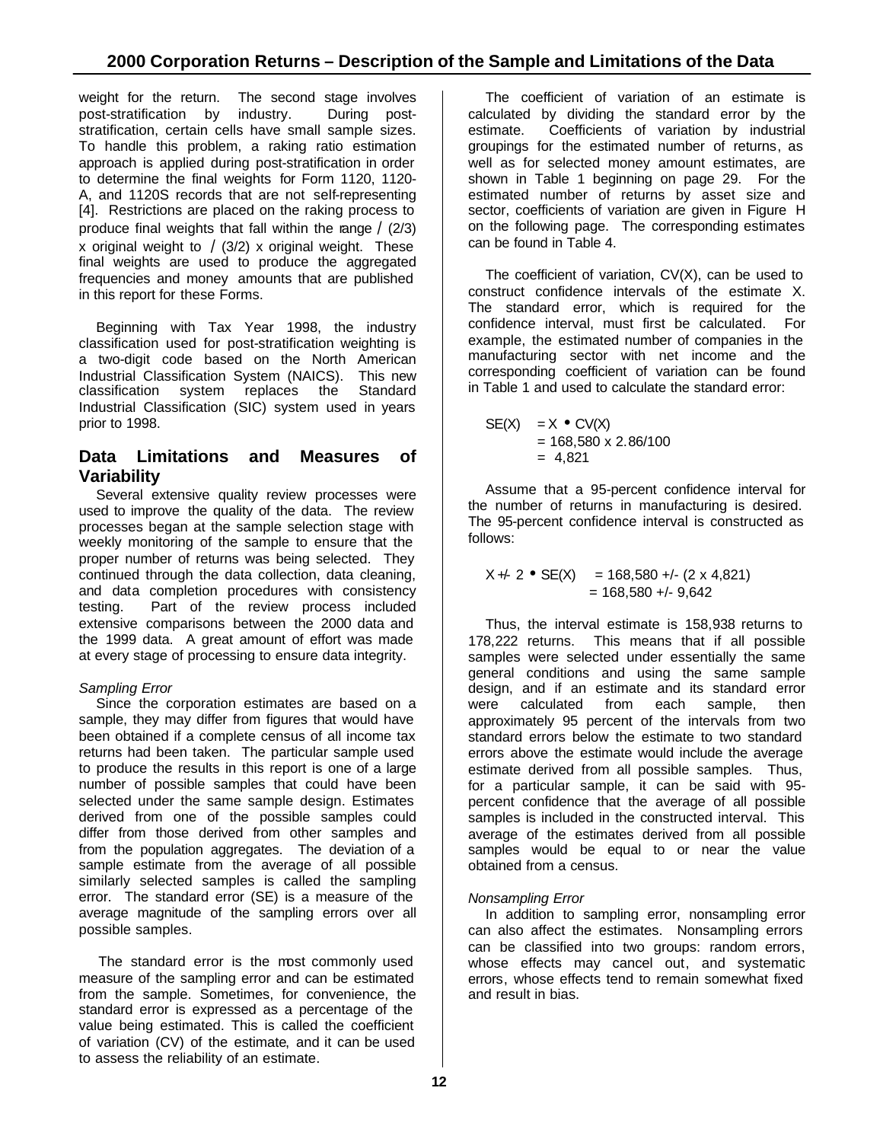weight for the return. The second stage involves post-stratification by industry. During poststratification, certain cells have small sample sizes. To handle this problem, a raking ratio estimation approach is applied during post-stratification in order to determine the final weights for Form 1120, 1120- A, and 1120S records that are not self-representing [4]. Restrictions are placed on the raking process to produce final weights that fall within the range  $\angle$  (2/3) x original weight to  $\angle(3/2)$  x original weight. These final weights are used to produce the aggregated frequencies and money amounts that are published in this report for these Forms.

Beginning with Tax Year 1998, the industry classification used for post-stratification weighting is a two-digit code based on the North American Industrial Classification System (NAICS). This new classification system replaces the Standard Industrial Classification (SIC) system used in years prior to 1998.

# **Data Limitations and Measures of Variability**

Several extensive quality review processes were used to improve the quality of the data. The review processes began at the sample selection stage with weekly monitoring of the sample to ensure that the proper number of returns was being selected. They continued through the data collection, data cleaning, and data completion procedures with consistency testing. Part of the review process included extensive comparisons between the 2000 data and the 1999 data. A great amount of effort was made at every stage of processing to ensure data integrity.

# *Sampling Error*

Since the corporation estimates are based on a sample, they may differ from figures that would have been obtained if a complete census of all income tax returns had been taken. The particular sample used to produce the results in this report is one of a large number of possible samples that could have been selected under the same sample design. Estimates derived from one of the possible samples could differ from those derived from other samples and from the population aggregates. The deviation of a sample estimate from the average of all possible similarly selected samples is called the sampling error. The standard error (SE) is a measure of the average magnitude of the sampling errors over all possible samples.

The standard error is the most commonly used measure of the sampling error and can be estimated from the sample. Sometimes, for convenience, the standard error is expressed as a percentage of the value being estimated. This is called the coefficient of variation (CV) of the estimate, and it can be used to assess the reliability of an estimate.

The coefficient of variation of an estimate is calculated by dividing the standard error by the estimate. Coefficients of variation by industrial groupings for the estimated number of returns, as well as for selected money amount estimates, are shown in Table 1 beginning on page 29. For the estimated number of returns by asset size and sector, coefficients of variation are given in Figure H on the following page. The corresponding estimates can be found in Table 4.

The coefficient of variation, CV(X), can be used to construct confidence intervals of the estimate X. The standard error, which is required for the confidence interval, must first be calculated. For example, the estimated number of companies in the manufacturing sector with net income and the corresponding coefficient of variation can be found in Table 1 and used to calculate the standard error:

SE(X) = X • CV(X) = 168,580 x 2.86/100 = 4,821

Assume that a 95-percent confidence interval for the number of returns in manufacturing is desired. The 95-percent confidence interval is constructed as follows:

$$
X + 2 \bullet SE(X) = 168,580 + (- (2 \times 4,821)
$$
  
= 168,580 + (-9,642)

Thus, the interval estimate is 158,938 returns to 178,222 returns. This means that if all possible samples were selected under essentially the same general conditions and using the same sample design, and if an estimate and its standard error were calculated from each sample, then approximately 95 percent of the intervals from two standard errors below the estimate to two standard errors above the estimate would include the average estimate derived from all possible samples. Thus, for a particular sample, it can be said with 95 percent confidence that the average of all possible samples is included in the constructed interval. This average of the estimates derived from all possible samples would be equal to or near the value obtained from a census.

# *Nonsampling Error*

In addition to sampling error, nonsampling error can also affect the estimates. Nonsampling errors can be classified into two groups: random errors, whose effects may cancel out, and systematic errors, whose effects tend to remain somewhat fixed and result in bias.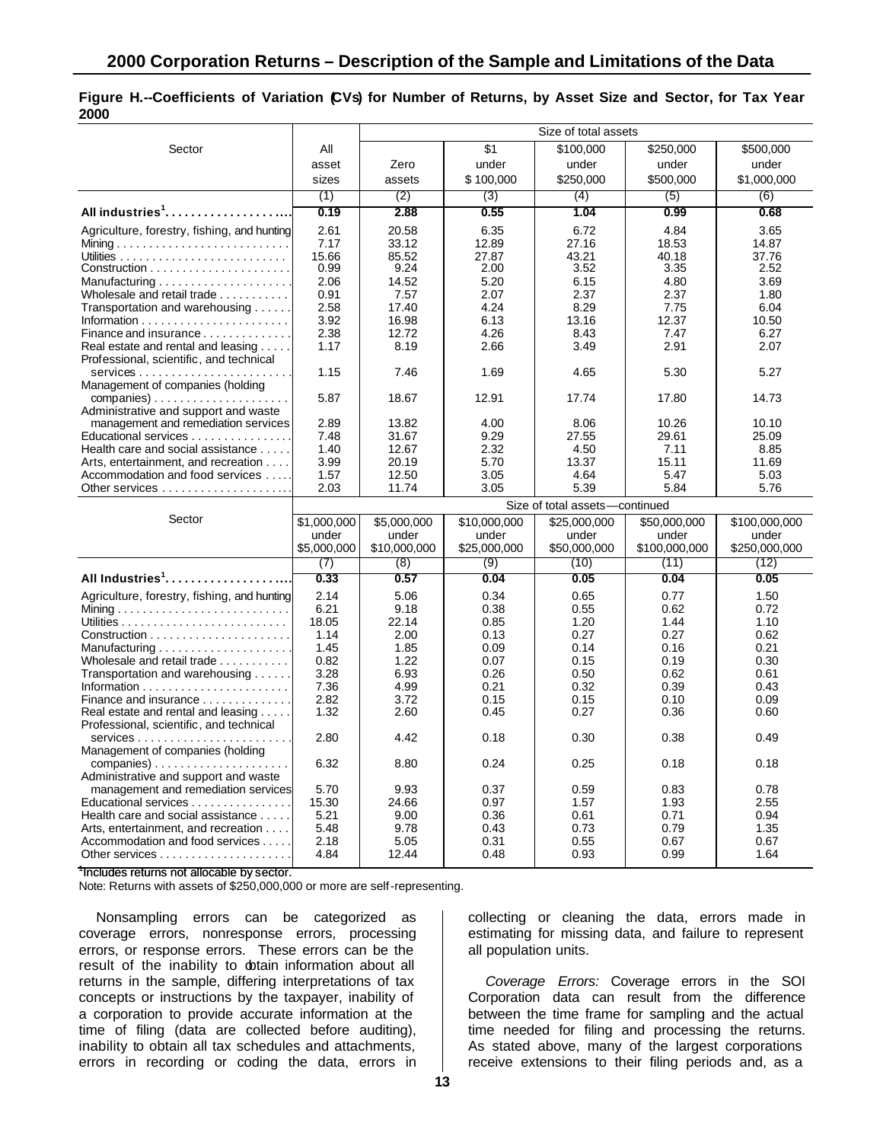#### **Figure H.--Coefficients of Variation (CVs) for Number of Returns, by Asset Size and Sector, for Tax Year 2000**

|                                                                                         |                                |                |               | Size of total assets |                |               |  |
|-----------------------------------------------------------------------------------------|--------------------------------|----------------|---------------|----------------------|----------------|---------------|--|
| Sector                                                                                  | All                            |                | \$1           | \$100,000            | \$250,000      | \$500,000     |  |
|                                                                                         | asset                          | Zero           | under         | under                | under          | under         |  |
|                                                                                         | sizes                          | assets         | \$100,000     | \$250,000            | \$500,000      | \$1,000,000   |  |
|                                                                                         | (1)                            | (2)            | (3)           | (4)                  | (5)            | (6)           |  |
| All industries <sup>1</sup>                                                             | 0.19                           | 2.88           | 0.55          | 1.04                 | 0.99           | 0.68          |  |
|                                                                                         |                                |                |               |                      |                |               |  |
| Agriculture, forestry, fishing, and hunting                                             | 2.61                           | 20.58          | 6.35          | 6.72                 | 4.84           | 3.65          |  |
|                                                                                         | 7.17                           | 33.12<br>85.52 | 12.89         | 27.16<br>43.21       | 18.53<br>40.18 | 14.87         |  |
|                                                                                         | 15.66<br>0.99                  | 9.24           | 27.87<br>2.00 | 3.52                 | 3.35           | 37.76<br>2.52 |  |
|                                                                                         | 2.06                           | 14.52          | 5.20          | 6.15                 | 4.80           | 3.69          |  |
| Wholesale and retail trade                                                              | 0.91                           | 7.57           | 2.07          | 2.37                 | 2.37           | 1.80          |  |
| Transportation and warehousing                                                          | 2.58                           | 17.40          | 4.24          | 8.29                 | 7.75           | 6.04          |  |
|                                                                                         | 3.92                           | 16.98          | 6.13          | 13.16                | 12.37          | 10.50         |  |
| Finance and insurance                                                                   | 2.38                           | 12.72          | 4.26          | 8.43                 | 7.47           | 6.27          |  |
| Real estate and rental and leasing<br>Professional, scientific, and technical           | 1.17                           | 8.19           | 2.66          | 3.49                 | 2.91           | 2.07          |  |
|                                                                                         | 1.15                           | 7.46           | 1.69          | 4.65                 | 5.30           | 5.27          |  |
| Management of companies (holding                                                        |                                |                |               |                      |                |               |  |
| $comparies) \ldots \ldots \ldots \ldots \ldots \ldots \ldots$                           | 5.87                           | 18.67          | 12.91         | 17.74                | 17.80          | 14.73         |  |
| Administrative and support and waste<br>management and remediation services             | 2.89                           | 13.82          | 4.00          | 8.06                 | 10.26          | 10.10         |  |
| Educational services                                                                    | 7.48                           | 31.67          | 9.29          | 27.55                | 29.61          | 25.09         |  |
| Health care and social assistance                                                       | 1.40                           | 12.67          | 2.32          | 4.50                 | 7.11           | 8.85          |  |
| Arts, entertainment, and recreation                                                     | 3.99                           | 20.19          | 5.70          | 13.37                | 15.11          | 11.69         |  |
| Accommodation and food services                                                         | 1.57                           | 12.50          | 3.05          | 4.64                 | 5.47           | 5.03          |  |
|                                                                                         | 2.03                           | 11.74          | 3.05          | 5.39                 | 5.84           | 5.76          |  |
|                                                                                         | Size of total assets-continued |                |               |                      |                |               |  |
|                                                                                         |                                |                |               |                      |                |               |  |
| Sector                                                                                  | \$1,000,000                    | \$5,000,000    | \$10,000,000  | \$25,000,000         | \$50,000,000   | \$100,000,000 |  |
|                                                                                         | under                          | under          | under         | under                | under          | under         |  |
|                                                                                         | \$5,000,000                    | \$10,000,000   | \$25,000,000  | \$50,000,000         | \$100,000,000  | \$250,000,000 |  |
|                                                                                         | (7)                            | (8)            | (9)           | (10)                 | (11)           | (12)          |  |
| All Industries <sup>1</sup>                                                             | 0.33                           | 0.57           | 0.04          | 0.05                 | 0.04           | 0.05          |  |
| Agriculture, forestry, fishing, and hunting                                             | 2.14                           | 5.06           | 0.34          | 0.65                 | 0.77           | 1.50          |  |
|                                                                                         | 6.21                           | 9.18           | 0.38          | 0.55                 | 0.62           | 0.72          |  |
|                                                                                         | 18.05                          | 22.14          | 0.85          | 1.20                 | 1.44           | 1.10          |  |
|                                                                                         | 1.14                           | 2.00           | 0.13          | 0.27                 | 0.27           | 0.62          |  |
| Manufacturing $\ldots \ldots \ldots \ldots \ldots \ldots$                               | 1.45                           | 1.85           | 0.09          | 0.14                 | 0.16           | 0.21          |  |
| Wholesale and retail trade                                                              | 0.82                           | 1.22           | 0.07          | 0.15                 | 0.19           | 0.30          |  |
| Transportation and warehousing                                                          | 3.28                           | 6.93           | 0.26          | 0.50                 | 0.62           | 0.61          |  |
| Finance and insurance                                                                   | 7.36<br>2.82                   | 4.99<br>3.72   | 0.21<br>0.15  | 0.32<br>0.15         | 0.39<br>0.10   | 0.43<br>0.09  |  |
| Real estate and rental and leasing                                                      | 1.32                           | 2.60           | 0.45          | 0.27                 | 0.36           | 0.60          |  |
| Professional, scientific, and technical                                                 | 2.80                           | 4.42           | 0.18          | 0.30                 | 0.38           | 0.49          |  |
| Management of companies (holding                                                        |                                |                |               |                      |                |               |  |
| $comparies) \ldots \ldots \ldots \ldots \ldots$<br>Administrative and support and waste | 6.32                           | 8.80           | 0.24          | 0.25                 | 0.18           | 0.18          |  |
| management and remediation services                                                     | 5.70                           | 9.93           | 0.37          | 0.59                 | 0.83           | 0.78          |  |
| Educational services                                                                    | 15.30                          | 24.66          | 0.97          | 1.57                 | 1.93           | 2.55          |  |
| Health care and social assistance                                                       | 5.21                           | 9.00           | 0.36          | 0.61                 | 0.71           | 0.94          |  |
| Arts, entertainment, and recreation                                                     | 5.48                           | 9.78           | 0.43          | 0.73                 | 0.79           | 1.35          |  |
| Accommodation and food services                                                         | 2.18<br>4.84                   | 5.05<br>12.44  | 0.31<br>0.48  | 0.55<br>0.93         | 0.67<br>0.99   | 0.67<br>1.64  |  |

1 Includes returns not allocable by sector.

Note: Returns with assets of \$250,000,000 or more are self-representing.

Nonsampling errors can be categorized as coverage errors, nonresponse errors, processing errors, or response errors. These errors can be the result of the inability to dotain information about all returns in the sample, differing interpretations of tax concepts or instructions by the taxpayer, inability of a corporation to provide accurate information at the time of filing (data are collected before auditing), inability to obtain all tax schedules and attachments, errors in recording or coding the data, errors in

collecting or cleaning the data, errors made in estimating for missing data, and failure to represent all population units.

*Coverage Errors:* Coverage errors in the SOI Corporation data can result from the difference between the time frame for sampling and the actual time needed for filing and processing the returns. As stated above, many of the largest corporations receive extensions to their filing periods and, as a